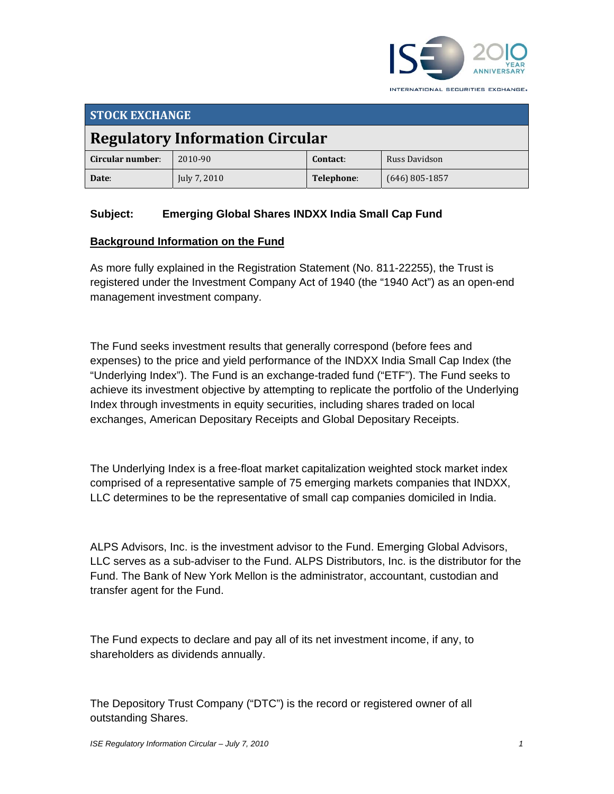

| <b>STOCK EXCHANGE</b>                  |              |            |                  |  |  |
|----------------------------------------|--------------|------------|------------------|--|--|
| <b>Regulatory Information Circular</b> |              |            |                  |  |  |
| Circular number:                       | 2010-90      | Contact:   | Russ Davidson    |  |  |
| Date:                                  | July 7, 2010 | Telephone: | $(646)$ 805-1857 |  |  |

## **Subject: Emerging Global Shares INDXX India Small Cap Fund**

#### **Background Information on the Fund**

As more fully explained in the Registration Statement (No. 811-22255), the Trust is registered under the Investment Company Act of 1940 (the "1940 Act") as an open-end management investment company.

The Fund seeks investment results that generally correspond (before fees and expenses) to the price and yield performance of the INDXX India Small Cap Index (the "Underlying Index"). The Fund is an exchange-traded fund ("ETF"). The Fund seeks to achieve its investment objective by attempting to replicate the portfolio of the Underlying Index through investments in equity securities, including shares traded on local exchanges, American Depositary Receipts and Global Depositary Receipts.

The Underlying Index is a free-float market capitalization weighted stock market index comprised of a representative sample of 75 emerging markets companies that INDXX, LLC determines to be the representative of small cap companies domiciled in India.

ALPS Advisors, Inc. is the investment advisor to the Fund. Emerging Global Advisors, LLC serves as a sub-adviser to the Fund. ALPS Distributors, Inc. is the distributor for the Fund. The Bank of New York Mellon is the administrator, accountant, custodian and transfer agent for the Fund.

The Fund expects to declare and pay all of its net investment income, if any, to shareholders as dividends annually.

The Depository Trust Company ("DTC") is the record or registered owner of all outstanding Shares.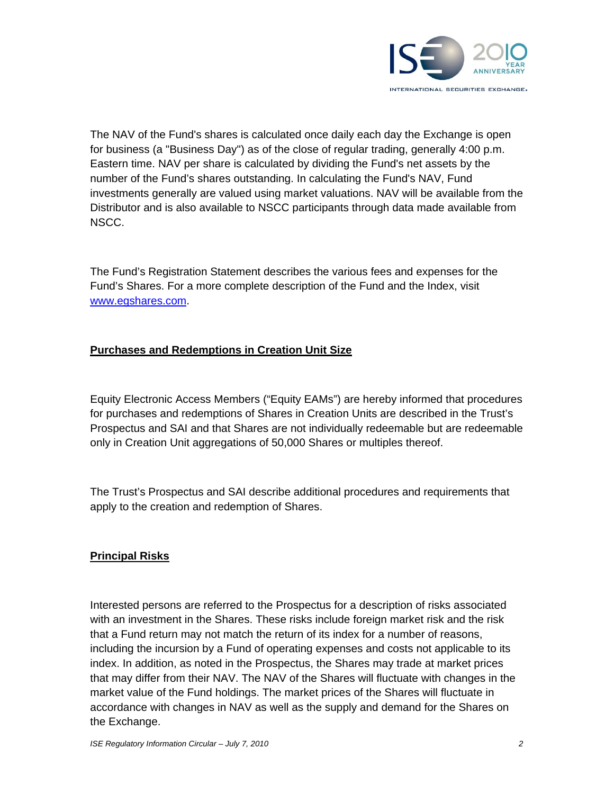

The NAV of the Fund's shares is calculated once daily each day the Exchange is open for business (a "Business Day") as of the close of regular trading, generally 4:00 p.m. Eastern time. NAV per share is calculated by dividing the Fund's net assets by the number of the Fund's shares outstanding. In calculating the Fund's NAV, Fund investments generally are valued using market valuations. NAV will be available from the Distributor and is also available to NSCC participants through data made available from NSCC.

The Fund's Registration Statement describes the various fees and expenses for the Fund's Shares. For a more complete description of the Fund and the Index, visit www.egshares.com.

## **Purchases and Redemptions in Creation Unit Size**

Equity Electronic Access Members ("Equity EAMs") are hereby informed that procedures for purchases and redemptions of Shares in Creation Units are described in the Trust's Prospectus and SAI and that Shares are not individually redeemable but are redeemable only in Creation Unit aggregations of 50,000 Shares or multiples thereof.

The Trust's Prospectus and SAI describe additional procedures and requirements that apply to the creation and redemption of Shares.

## **Principal Risks**

Interested persons are referred to the Prospectus for a description of risks associated with an investment in the Shares. These risks include foreign market risk and the risk that a Fund return may not match the return of its index for a number of reasons, including the incursion by a Fund of operating expenses and costs not applicable to its index. In addition, as noted in the Prospectus, the Shares may trade at market prices that may differ from their NAV. The NAV of the Shares will fluctuate with changes in the market value of the Fund holdings. The market prices of the Shares will fluctuate in accordance with changes in NAV as well as the supply and demand for the Shares on the Exchange.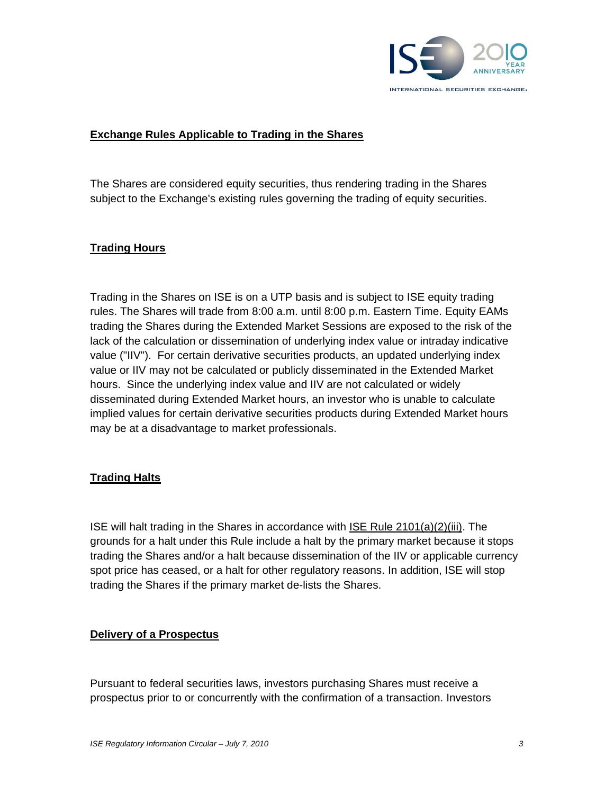

### **Exchange Rules Applicable to Trading in the Shares**

The Shares are considered equity securities, thus rendering trading in the Shares subject to the Exchange's existing rules governing the trading of equity securities.

### **Trading Hours**

Trading in the Shares on ISE is on a UTP basis and is subject to ISE equity trading rules. The Shares will trade from 8:00 a.m. until 8:00 p.m. Eastern Time. Equity EAMs trading the Shares during the Extended Market Sessions are exposed to the risk of the lack of the calculation or dissemination of underlying index value or intraday indicative value ("IIV"). For certain derivative securities products, an updated underlying index value or IIV may not be calculated or publicly disseminated in the Extended Market hours. Since the underlying index value and IIV are not calculated or widely disseminated during Extended Market hours, an investor who is unable to calculate implied values for certain derivative securities products during Extended Market hours may be at a disadvantage to market professionals.

### **Trading Halts**

ISE will halt trading in the Shares in accordance with ISE Rule 2101(a)(2)(iii). The grounds for a halt under this Rule include a halt by the primary market because it stops trading the Shares and/or a halt because dissemination of the IIV or applicable currency spot price has ceased, or a halt for other regulatory reasons. In addition, ISE will stop trading the Shares if the primary market de-lists the Shares.

### **Delivery of a Prospectus**

Pursuant to federal securities laws, investors purchasing Shares must receive a prospectus prior to or concurrently with the confirmation of a transaction. Investors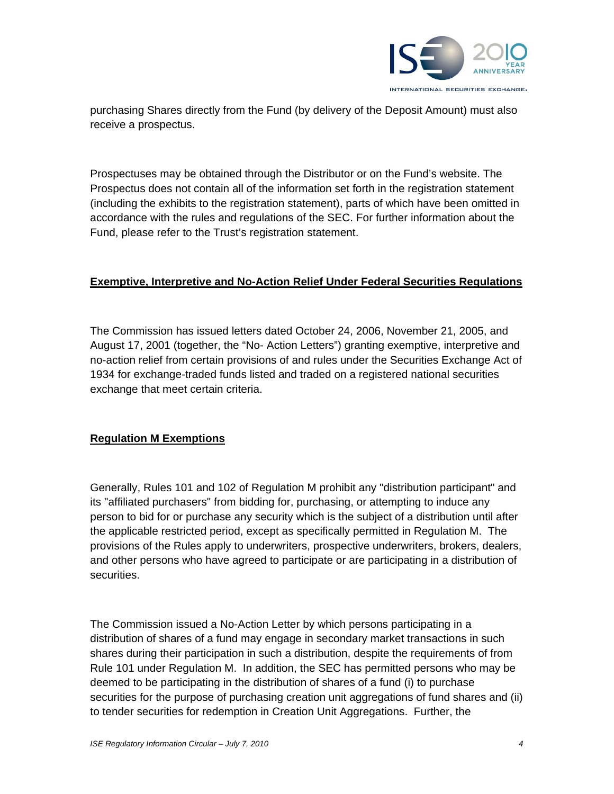

purchasing Shares directly from the Fund (by delivery of the Deposit Amount) must also receive a prospectus.

Prospectuses may be obtained through the Distributor or on the Fund's website. The Prospectus does not contain all of the information set forth in the registration statement (including the exhibits to the registration statement), parts of which have been omitted in accordance with the rules and regulations of the SEC. For further information about the Fund, please refer to the Trust's registration statement.

### **Exemptive, Interpretive and No-Action Relief Under Federal Securities Regulations**

The Commission has issued letters dated October 24, 2006, November 21, 2005, and August 17, 2001 (together, the "No- Action Letters") granting exemptive, interpretive and no-action relief from certain provisions of and rules under the Securities Exchange Act of 1934 for exchange-traded funds listed and traded on a registered national securities exchange that meet certain criteria.

## **Regulation M Exemptions**

Generally, Rules 101 and 102 of Regulation M prohibit any "distribution participant" and its "affiliated purchasers" from bidding for, purchasing, or attempting to induce any person to bid for or purchase any security which is the subject of a distribution until after the applicable restricted period, except as specifically permitted in Regulation M. The provisions of the Rules apply to underwriters, prospective underwriters, brokers, dealers, and other persons who have agreed to participate or are participating in a distribution of securities.

The Commission issued a No-Action Letter by which persons participating in a distribution of shares of a fund may engage in secondary market transactions in such shares during their participation in such a distribution, despite the requirements of from Rule 101 under Regulation M. In addition, the SEC has permitted persons who may be deemed to be participating in the distribution of shares of a fund (i) to purchase securities for the purpose of purchasing creation unit aggregations of fund shares and (ii) to tender securities for redemption in Creation Unit Aggregations. Further, the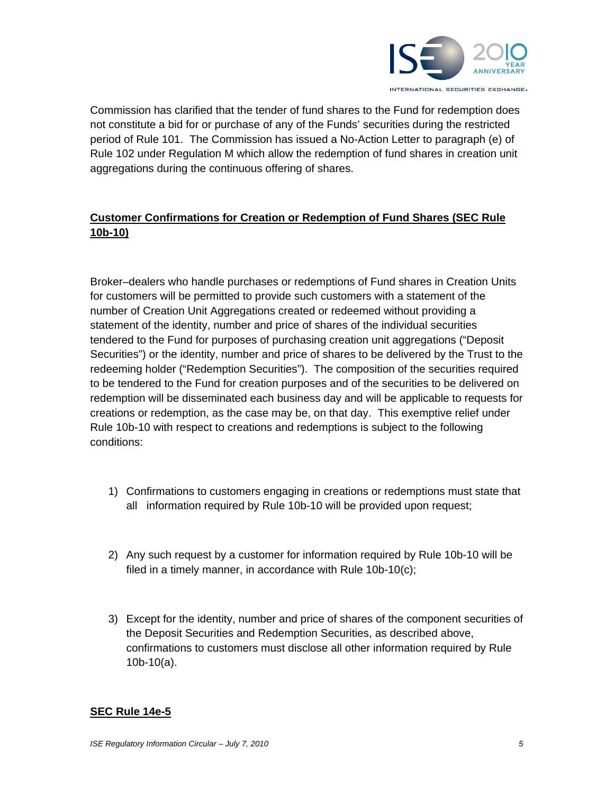

Commission has clarified that the tender of fund shares to the Fund for redemption does not constitute a bid for or purchase of any of the Funds' securities during the restricted period of Rule 101. The Commission has issued a No-Action Letter to paragraph (e) of Rule 102 under Regulation M which allow the redemption of fund shares in creation unit aggregations during the continuous offering of shares.

## **Customer Confirmations for Creation or Redemption of Fund Shares (SEC Rule 10b-10)**

Broker–dealers who handle purchases or redemptions of Fund shares in Creation Units for customers will be permitted to provide such customers with a statement of the number of Creation Unit Aggregations created or redeemed without providing a statement of the identity, number and price of shares of the individual securities tendered to the Fund for purposes of purchasing creation unit aggregations ("Deposit Securities") or the identity, number and price of shares to be delivered by the Trust to the redeeming holder ("Redemption Securities"). The composition of the securities required to be tendered to the Fund for creation purposes and of the securities to be delivered on redemption will be disseminated each business day and will be applicable to requests for creations or redemption, as the case may be, on that day. This exemptive relief under Rule 10b-10 with respect to creations and redemptions is subject to the following conditions:

- 1) Confirmations to customers engaging in creations or redemptions must state that all information required by Rule 10b-10 will be provided upon request;
- 2) Any such request by a customer for information required by Rule 10b-10 will be filed in a timely manner, in accordance with Rule 10b-10(c);
- 3) Except for the identity, number and price of shares of the component securities of the Deposit Securities and Redemption Securities, as described above, confirmations to customers must disclose all other information required by Rule 10b-10(a).

### **SEC Rule 14e-5**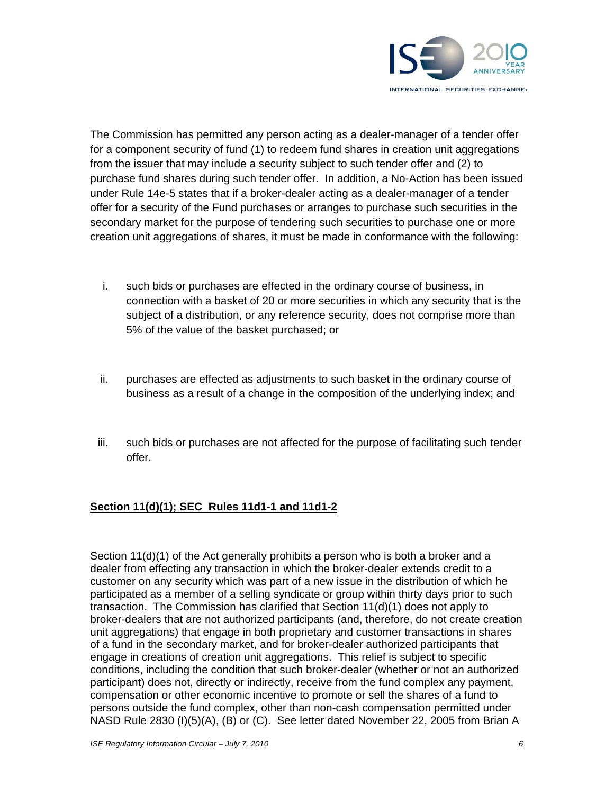

The Commission has permitted any person acting as a dealer-manager of a tender offer for a component security of fund (1) to redeem fund shares in creation unit aggregations from the issuer that may include a security subject to such tender offer and (2) to purchase fund shares during such tender offer. In addition, a No-Action has been issued under Rule 14e-5 states that if a broker-dealer acting as a dealer-manager of a tender offer for a security of the Fund purchases or arranges to purchase such securities in the secondary market for the purpose of tendering such securities to purchase one or more creation unit aggregations of shares, it must be made in conformance with the following:

- i. such bids or purchases are effected in the ordinary course of business, in connection with a basket of 20 or more securities in which any security that is the subject of a distribution, or any reference security, does not comprise more than 5% of the value of the basket purchased; or
- ii. purchases are effected as adjustments to such basket in the ordinary course of business as a result of a change in the composition of the underlying index; and
- iii. such bids or purchases are not affected for the purpose of facilitating such tender offer.

## **Section 11(d)(1); SEC Rules 11d1-1 and 11d1-2**

Section 11(d)(1) of the Act generally prohibits a person who is both a broker and a dealer from effecting any transaction in which the broker-dealer extends credit to a customer on any security which was part of a new issue in the distribution of which he participated as a member of a selling syndicate or group within thirty days prior to such transaction. The Commission has clarified that Section 11(d)(1) does not apply to broker-dealers that are not authorized participants (and, therefore, do not create creation unit aggregations) that engage in both proprietary and customer transactions in shares of a fund in the secondary market, and for broker-dealer authorized participants that engage in creations of creation unit aggregations. This relief is subject to specific conditions, including the condition that such broker-dealer (whether or not an authorized participant) does not, directly or indirectly, receive from the fund complex any payment, compensation or other economic incentive to promote or sell the shares of a fund to persons outside the fund complex, other than non-cash compensation permitted under NASD Rule 2830 (I)(5)(A), (B) or (C). See letter dated November 22, 2005 from Brian A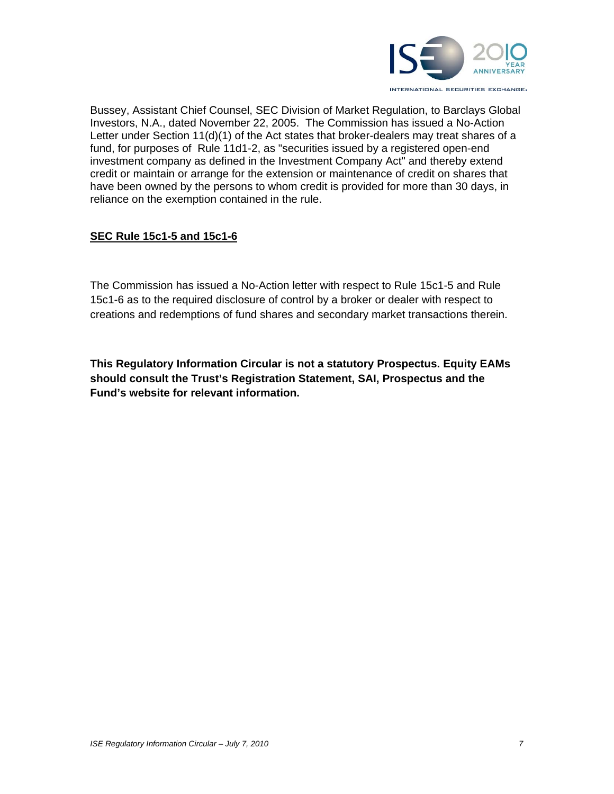

Bussey, Assistant Chief Counsel, SEC Division of Market Regulation, to Barclays Global Investors, N.A., dated November 22, 2005. The Commission has issued a No-Action Letter under Section 11(d)(1) of the Act states that broker-dealers may treat shares of a fund, for purposes of Rule 11d1-2, as "securities issued by a registered open-end investment company as defined in the Investment Company Act" and thereby extend credit or maintain or arrange for the extension or maintenance of credit on shares that have been owned by the persons to whom credit is provided for more than 30 days, in reliance on the exemption contained in the rule.

### **SEC Rule 15c1-5 and 15c1-6**

The Commission has issued a No-Action letter with respect to Rule 15c1-5 and Rule 15c1-6 as to the required disclosure of control by a broker or dealer with respect to creations and redemptions of fund shares and secondary market transactions therein.

**This Regulatory Information Circular is not a statutory Prospectus. Equity EAMs should consult the Trust's Registration Statement, SAI, Prospectus and the Fund's website for relevant information.**